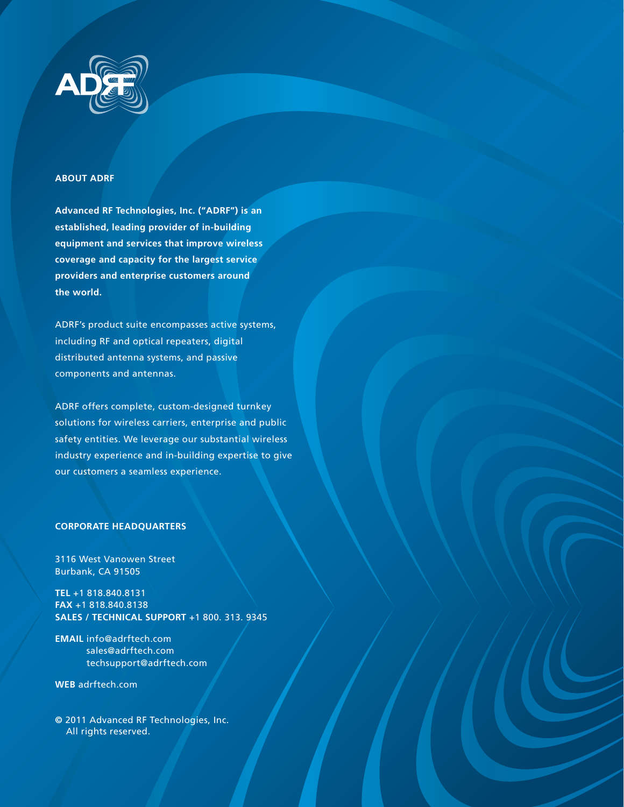

#### **ABOUT ADRF**

**Advanced RF Technologies, Inc. ("ADRF") is an established, leading provider of in-building equipment and services that improve wireless coverage and capacity for the largest service providers and enterprise customers around the world.**

ADRF's product suite encompasses active systems, including RF and optical repeaters, digital distributed antenna systems, and passive components and antennas.

ADRF offers complete, custom-designed turnkey solutions for wireless carriers, enterprise and public safety entities. We leverage our substantial wireless industry experience and in-building expertise to give our customers a seamless experience.

#### **CORPORATE HEADQUARTERS**

3116 West Vanowen Street Burbank, CA 91505

**TEL** +1 818.840.8131 **FAX** +1 818.840.8138 **SALES / TECHNICAL SUPPORT** +1 800. 313. 9345

**EMAIL** info@adrftech.com sales@adrftech.com techsupport@adrftech.com

**WEB** adrftech.com

**©** 2011 Advanced RF Technologies, Inc. All rights reserved.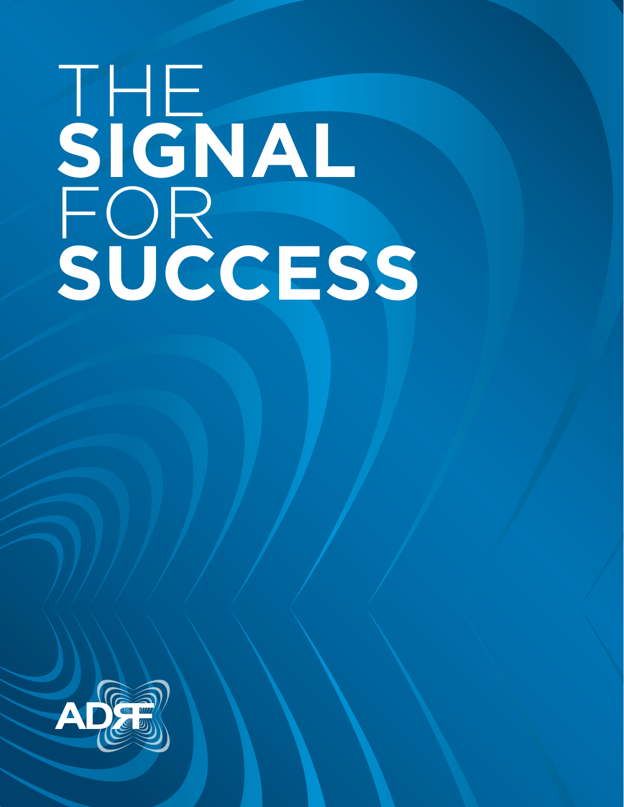# THE **SIGNAL** FOR **SUCCESS**

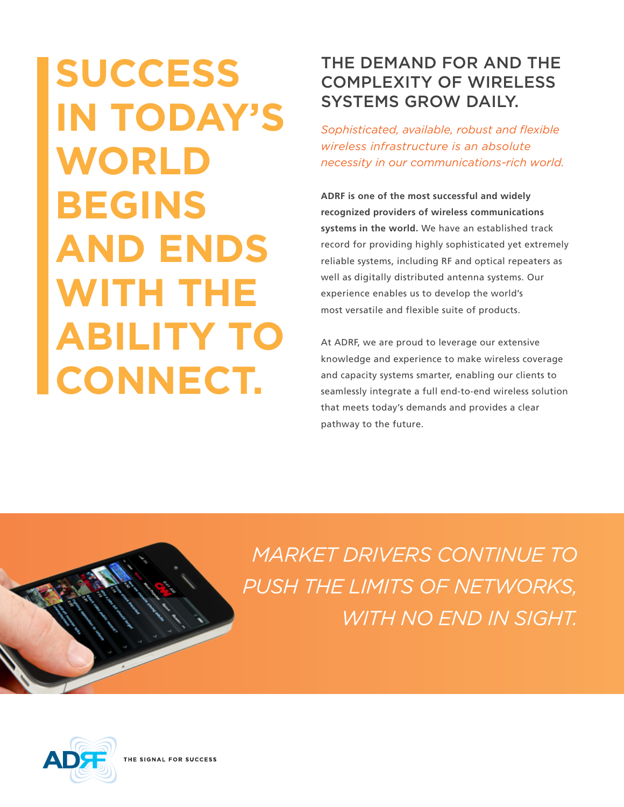# **SUCCESS IN TODAY'S WORLD BEGINS AND ENDS WITH THE ABILITY TO CONNECT.**

# THE DEMAND FOR AND THE COMPLEXITY OF WIRELESS SYSTEMS GROW DAILY.

*Sophisticated, available, robust and flexible wireless infrastructure is an absolute necessity in our communications-rich world.* 

**ADRF is one of the most successful and widely recognized providers of wireless communications systems in the world.** We have an established track record for providing highly sophisticated yet extremely reliable systems, including RF and optical repeaters as well as digitally distributed antenna systems. Our experience enables us to develop the world's most versatile and flexible suite of products.

At ADRF, we are proud to leverage our extensive knowledge and experience to make wireless coverage and capacity systems smarter, enabling our clients to seamlessly integrate a full end-to-end wireless solution that meets today's demands and provides a clear pathway to the future.



*MARKET DRIVERS CONTINUE TO PUSH THE LIMITS OF NETWORKS, WITH NO END IN SIGHT.* 



THE SIGNAL FOR SUCCESS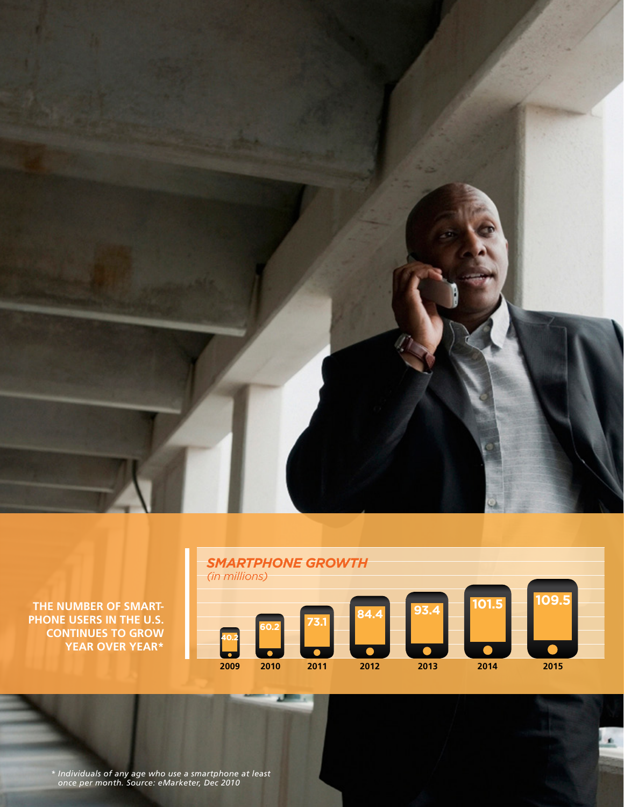





*\* Individuals of any age who use a smartphone at least once per month. Source: eMarketer, Dec 2010*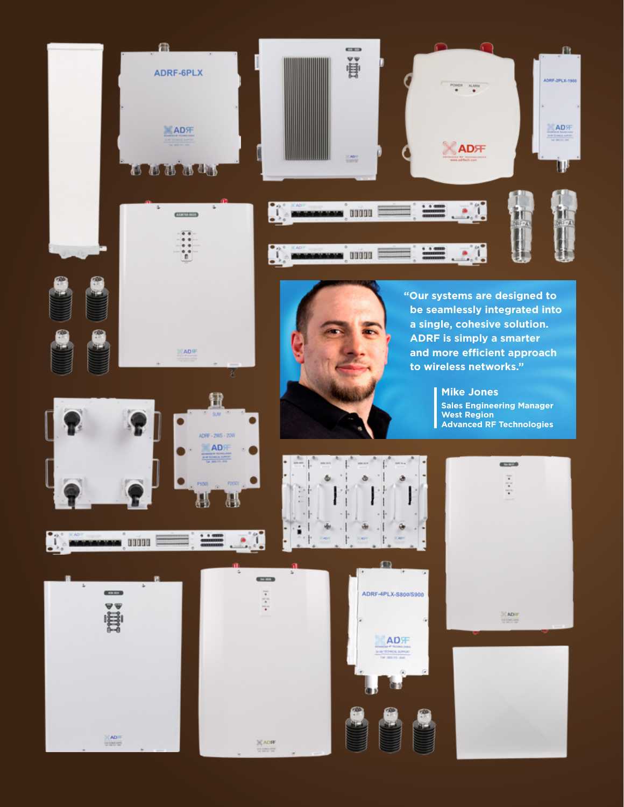

**LAD**<sup></sup>







**"Our systems are designed to be seamlessly integrated into a single, cohesive solution. ADRF is simply a smarter and more efficient approach to wireless networks."**



AD汗 NOL BUY













**Mike Jones Sales Engineering Manager West Region Advanced RF Technologies**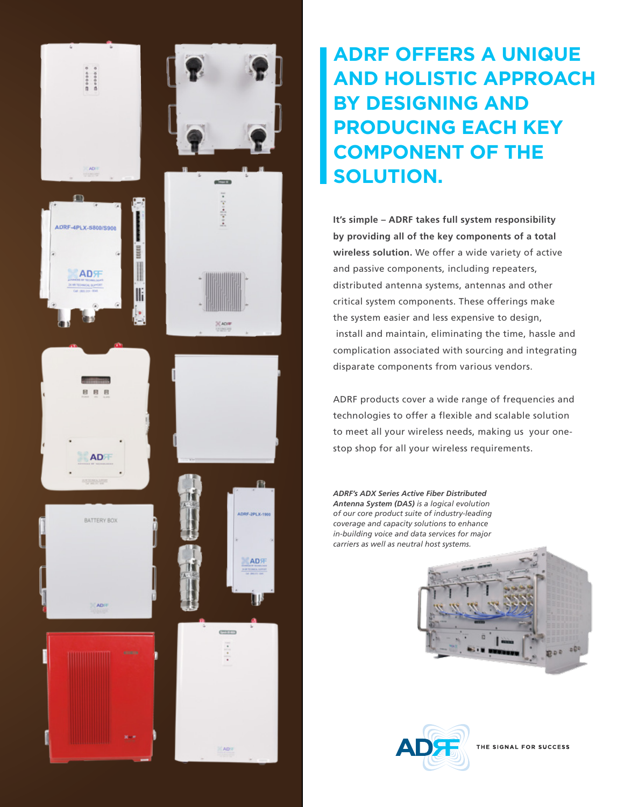

# **ADRF OFFERS A UNIQUE AND HOLISTIC APPROACH BY DESIGNING AND PRODUCING EACH KEY COMPONENT OF THE SOLUTION.**

**It's simple – ADRF takes full system responsibility by providing all of the key components of a total wireless solution.** We offer a wide variety of active and passive components, including repeaters, distributed antenna systems, antennas and other critical system components. These offerings make the system easier and less expensive to design, install and maintain, eliminating the time, hassle and complication associated with sourcing and integrating disparate components from various vendors.

ADRF products cover a wide range of frequencies and technologies to offer a flexible and scalable solution to meet all your wireless needs, making us your onestop shop for all your wireless requirements.

*ADRF's ADX Series Active Fiber Distributed Antenna System (DAS) is a logical evolution of our core product suite of industry-leading coverage and capacity solutions to enhance in-building voice and data services for major carriers as well as neutral host systems.*





THE SIGNAL FOR SUCCESS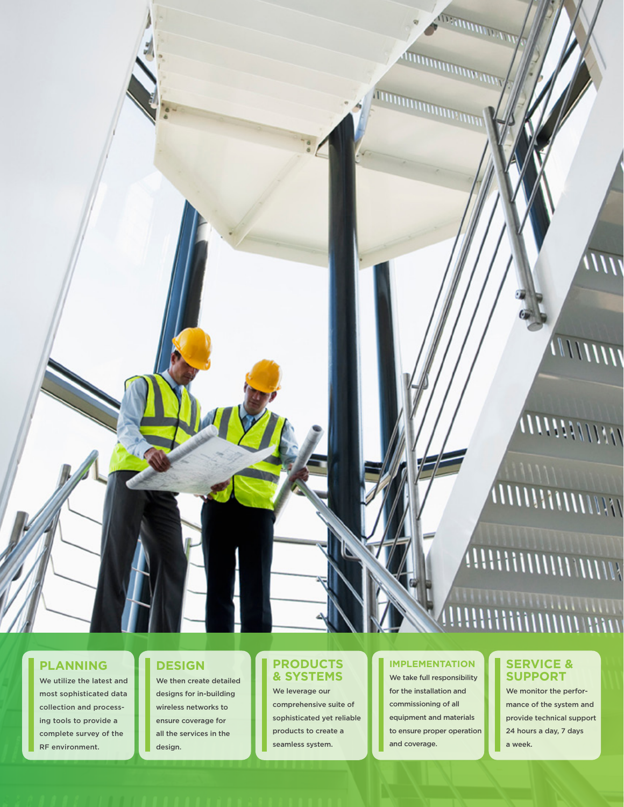### **PLANNING**

We utilize the latest and most sophisticated data collection and processing tools to provide a complete survey of the RF environment.

# **DESIGN**

We then create detailed designs for in-building wireless networks to ensure coverage for all the services in the design.

## **PRODUCTS & SYSTEMS**

We leverage our comprehensive suite of sophisticated yet reliable products to create a seamless system.

### **IMPLEMENTATION**

We take full responsibility for the installation and commissioning of all equipment and materials to ensure proper operation and coverage.

## **SERVICE & SUPPORT**

We monitor the performance of the system and provide technical support 24 hours a day, 7 days a week.

# **ANNAHIMANIANIA**

,,,,,,,,,,,,,,,,,,,,,,,,

# **ATTHIN ITHIANIAN**

**AHAHAHAHAHA** 

 $\overline{1111}$ 

**COMMITTEE** 

*ITHRODUCIONAL PROPERTY*